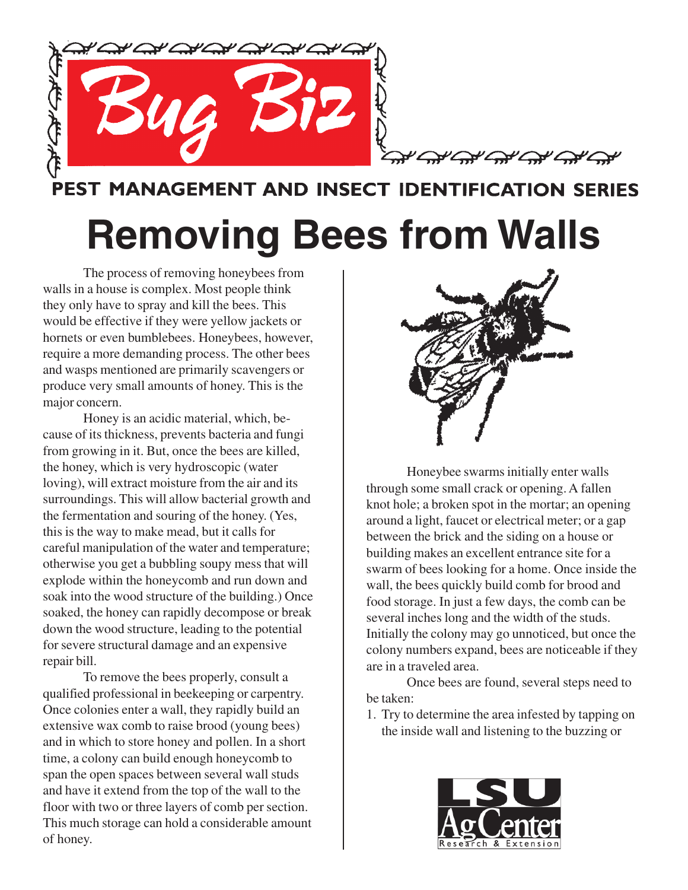

PEST MANAGEMENT AND INSECT IDENTIFICATION SERIES

## **Removing Bees from Walls**

The process of removing honeybees from walls in a house is complex. Most people think they only have to spray and kill the bees. This would be effective if they were yellow jackets or hornets or even bumblebees. Honeybees, however, require a more demanding process. The other bees and wasps mentioned are primarily scavengers or produce very small amounts of honey. This is the major concern.

Honey is an acidic material, which, because of its thickness, prevents bacteria and fungi from growing in it. But, once the bees are killed, the honey, which is very hydroscopic (water loving), will extract moisture from the air and its surroundings. This will allow bacterial growth and the fermentation and souring of the honey. (Yes, this is the way to make mead, but it calls for careful manipulation of the water and temperature; otherwise you get a bubbling soupy mess that will explode within the honeycomb and run down and soak into the wood structure of the building.) Once soaked, the honey can rapidly decompose or break down the wood structure, leading to the potential for severe structural damage and an expensive repair bill.

To remove the bees properly, consult a qualified professional in beekeeping or carpentry. Once colonies enter a wall, they rapidly build an extensive wax comb to raise brood (young bees) and in which to store honey and pollen. In a short time, a colony can build enough honeycomb to span the open spaces between several wall studs and have it extend from the top of the wall to the floor with two or three layers of comb per section. This much storage can hold a considerable amount of honey.



Honeybee swarms initially enter walls through some small crack or opening. A fallen knot hole; a broken spot in the mortar; an opening around a light, faucet or electrical meter; or a gap between the brick and the siding on a house or building makes an excellent entrance site for a swarm of bees looking for a home. Once inside the wall, the bees quickly build comb for brood and food storage. In just a few days, the comb can be several inches long and the width of the studs. Initially the colony may go unnoticed, but once the colony numbers expand, bees are noticeable if they are in a traveled area.

Once bees are found, several steps need to be taken:

1. Try to determine the area infested by tapping on the inside wall and listening to the buzzing or